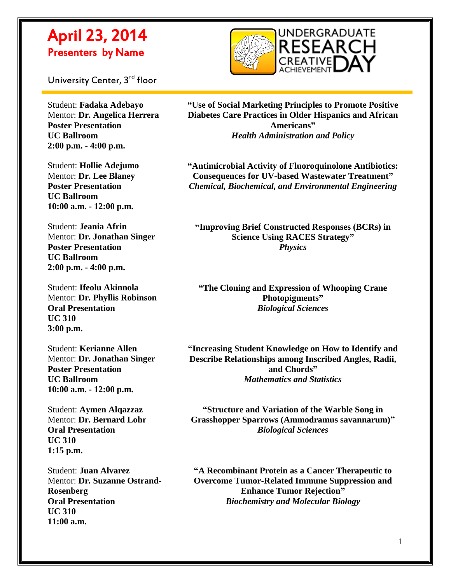

University Center, 3<sup>rd</sup> floor

 $\overline{a}$ 

Student: **Fadaka Adebayo** Mentor: **Dr. Angelica Herrera Poster Presentation UC Ballroom 2:00 p.m. - 4:00 p.m.**

Student: **Hollie Adejumo** Mentor: **Dr. Lee Blaney Poster Presentation UC Ballroom 10:00 a.m. - 12:00 p.m.**

Student: **Jeania Afrin** Mentor: **Dr. Jonathan Singer Poster Presentation UC Ballroom 2:00 p.m. - 4:00 p.m.**

Student: **Ifeolu Akinnola** Mentor: **Dr. Phyllis Robinson Oral Presentation UC 310 3:00 p.m.**

Student: **Kerianne Allen** Mentor: **Dr. Jonathan Singer Poster Presentation UC Ballroom 10:00 a.m. - 12:00 p.m.**

Student: **Aymen Alqazzaz** Mentor: **Dr. Bernard Lohr Oral Presentation UC 310 1:15 p.m.**

Student: **Juan Alvarez** Mentor: **Dr. Suzanne Ostrand-Rosenberg Oral Presentation UC 310 11:00 a.m.**

**"Use of Social Marketing Principles to Promote Positive Diabetes Care Practices in Older Hispanics and African Americans"** *Health Administration and Policy*

**"Antimicrobial Activity of Fluoroquinolone Antibiotics: Consequences for UV-based Wastewater Treatment"** *Chemical, Biochemical, and Environmental Engineering*

**"Improving Brief Constructed Responses (BCRs) in Science Using RACES Strategy"** *Physics*

**"The Cloning and Expression of Whooping Crane Photopigments"** *Biological Sciences*

**"Increasing Student Knowledge on How to Identify and Describe Relationships among Inscribed Angles, Radii, and Chords"** *Mathematics and Statistics*

**"Structure and Variation of the Warble Song in Grasshopper Sparrows (Ammodramus savannarum)"** *Biological Sciences*

**"A Recombinant Protein as a Cancer Therapeutic to Overcome Tumor-Related Immune Suppression and Enhance Tumor Rejection"** *Biochemistry and Molecular Biology*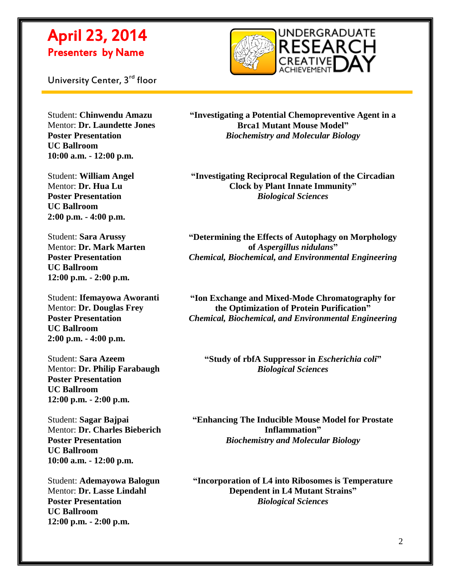

 $\overline{a}$ 



Student: **Chinwendu Amazu** Mentor: **Dr. Laundette Jones Poster Presentation UC Ballroom 10:00 a.m. - 12:00 p.m.**

Student: **William Angel** Mentor: **Dr. Hua Lu Poster Presentation UC Ballroom 2:00 p.m. - 4:00 p.m.**

Student: **Sara Arussy** Mentor: **Dr. Mark Marten Poster Presentation UC Ballroom 12:00 p.m. - 2:00 p.m.**

Student: **Ifemayowa Aworanti** Mentor: **Dr. Douglas Frey Poster Presentation UC Ballroom 2:00 p.m. - 4:00 p.m.**

Student: **Sara Azeem** Mentor: **Dr. Philip Farabaugh Poster Presentation UC Ballroom 12:00 p.m. - 2:00 p.m.**

Student: **Sagar Bajpai** Mentor: **Dr. Charles Bieberich Poster Presentation UC Ballroom 10:00 a.m. - 12:00 p.m.**

Student: **Ademayowa Balogun** Mentor: **Dr. Lasse Lindahl Poster Presentation UC Ballroom 12:00 p.m. - 2:00 p.m.**

**"Investigating a Potential Chemopreventive Agent in a Brca1 Mutant Mouse Model"** *Biochemistry and Molecular Biology*

**"Investigating Reciprocal Regulation of the Circadian Clock by Plant Innate Immunity"** *Biological Sciences*

**"Determining the Effects of Autophagy on Morphology of** *Aspergillus nidulans***"** *Chemical, Biochemical, and Environmental Engineering*

**"Ion Exchange and Mixed-Mode Chromatography for the Optimization of Protein Purification"** *Chemical, Biochemical, and Environmental Engineering*

**"Study of rbfA Suppressor in** *Escherichia coli***"** *Biological Sciences*

**"Enhancing The Inducible Mouse Model for Prostate Inflammation"** *Biochemistry and Molecular Biology*

**"Incorporation of L4 into Ribosomes is Temperature Dependent in L4 Mutant Strains"** *Biological Sciences*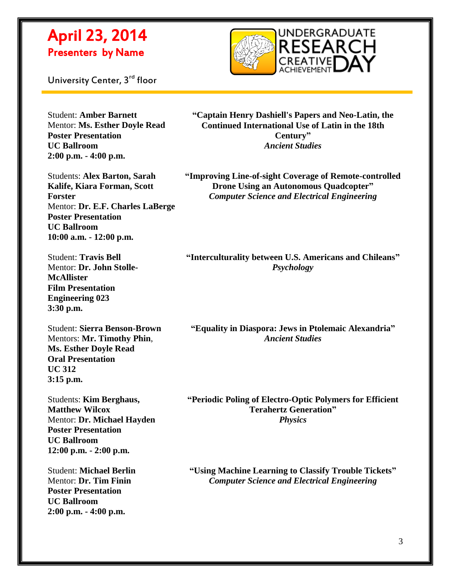

University Center, 3<sup>rd</sup> floor

 $\overline{a}$ 

Student: **Amber Barnett** Mentor: **Ms. Esther Doyle Read Poster Presentation UC Ballroom 2:00 p.m. - 4:00 p.m.**

**"Captain Henry Dashiell's Papers and Neo-Latin, the Continued International Use of Latin in the 18th Century"** *Ancient Studies*

Students: **Alex Barton, Sarah Kalife, Kiara Forman, Scott Forster** Mentor: **Dr. E.F. Charles LaBerge Poster Presentation UC Ballroom 10:00 a.m. - 12:00 p.m.**

Student: **Travis Bell** Mentor: **Dr. John Stolle-McAllister Film Presentation Engineering 023 3:30 p.m.**

Student: **Sierra Benson-Brown** Mentors: **Mr. Timothy Phin**, **Ms. Esther Doyle Read Oral Presentation UC 312 3:15 p.m.**

Students: **Kim Berghaus, Matthew Wilcox** Mentor: **Dr. Michael Hayden Poster Presentation UC Ballroom 12:00 p.m. - 2:00 p.m.**

Student: **Michael Berlin** Mentor: **Dr. Tim Finin Poster Presentation UC Ballroom 2:00 p.m. - 4:00 p.m.**

**"Improving Line-of-sight Coverage of Remote-controlled Drone Using an Autonomous Quadcopter"** *Computer Science and Electrical Engineering*

**"Interculturality between U.S. Americans and Chileans"** *Psychology*

**"Equality in Diaspora: Jews in Ptolemaic Alexandria"** *Ancient Studies*

**"Periodic Poling of Electro-Optic Polymers for Efficient Terahertz Generation"** *Physics*

**"Using Machine Learning to Classify Trouble Tickets"** *Computer Science and Electrical Engineering*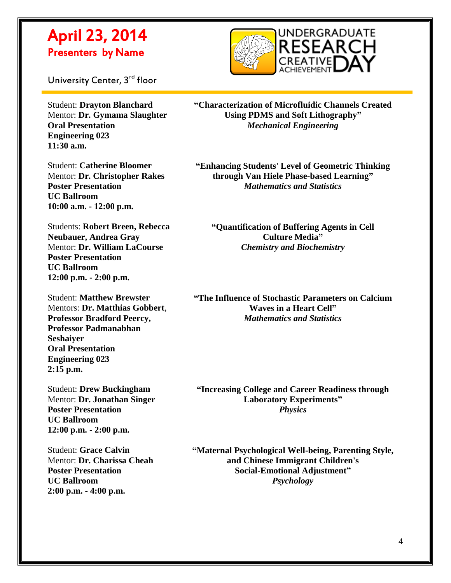

University Center, 3<sup>rd</sup> floor

 $\overline{a}$ 

Student: **Drayton Blanchard** Mentor: **Dr. Gymama Slaughter Oral Presentation Engineering 023 11:30 a.m.**

Student: **Catherine Bloomer** Mentor: **Dr. Christopher Rakes Poster Presentation UC Ballroom 10:00 a.m. - 12:00 p.m.**

Students: **Robert Breen, Rebecca Neubauer, Andrea Gray** Mentor: **Dr. William LaCourse Poster Presentation UC Ballroom 12:00 p.m. - 2:00 p.m.**

Student: **Matthew Brewster** Mentors: **Dr. Matthias Gobbert**, **Professor Bradford Peercy, Professor Padmanabhan Seshaiyer Oral Presentation Engineering 023 2:15 p.m.**

Student: **Drew Buckingham** Mentor: **Dr. Jonathan Singer Poster Presentation UC Ballroom 12:00 p.m. - 2:00 p.m.**

Student: **Grace Calvin** Mentor: **Dr. Charissa Cheah Poster Presentation UC Ballroom 2:00 p.m. - 4:00 p.m.**

**"Characterization of Microfluidic Channels Created Using PDMS and Soft Lithography"** *Mechanical Engineering*

**"Enhancing Students' Level of Geometric Thinking through Van Hiele Phase-based Learning"** *Mathematics and Statistics*

**"Quantification of Buffering Agents in Cell Culture Media"** *Chemistry and Biochemistry*

**"The Influence of Stochastic Parameters on Calcium Waves in a Heart Cell"** *Mathematics and Statistics*

**"Increasing College and Career Readiness through Laboratory Experiments"** *Physics*

**"Maternal Psychological Well-being, Parenting Style, and Chinese Immigrant Children's Social-Emotional Adjustment"** *Psychology*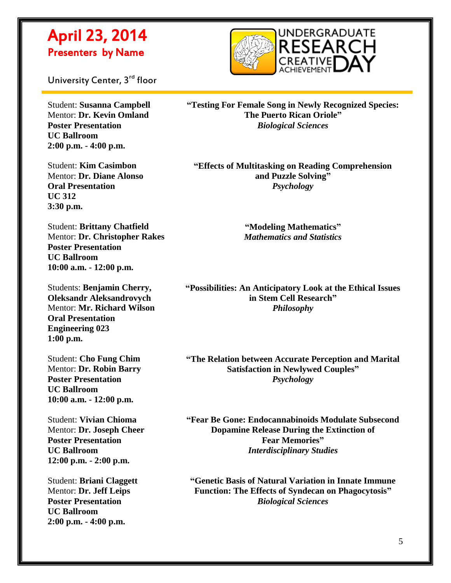

University Center, 3<sup>rd</sup> floor

 $\overline{a}$ 

Student: **Susanna Campbell** Mentor: **Dr. Kevin Omland Poster Presentation UC Ballroom 2:00 p.m. - 4:00 p.m.**

Student: **Kim Casimbon** Mentor: **Dr. Diane Alonso Oral Presentation UC 312 3:30 p.m.**

Student: **Brittany Chatfield** Mentor: **Dr. Christopher Rakes Poster Presentation UC Ballroom 10:00 a.m. - 12:00 p.m.**

Students: **Benjamin Cherry, Oleksandr Aleksandrovych** Mentor: **Mr. Richard Wilson Oral Presentation Engineering 023 1:00 p.m.**

Student: **Cho Fung Chim** Mentor: **Dr. Robin Barry Poster Presentation UC Ballroom 10:00 a.m. - 12:00 p.m.**

Student: **Vivian Chioma** Mentor: **Dr. Joseph Cheer Poster Presentation UC Ballroom 12:00 p.m. - 2:00 p.m.**

Student: **Briani Claggett** Mentor: **Dr. Jeff Leips Poster Presentation UC Ballroom 2:00 p.m. - 4:00 p.m.**

**"Testing For Female Song in Newly Recognized Species: The Puerto Rican Oriole"** *Biological Sciences*

**"Effects of Multitasking on Reading Comprehension and Puzzle Solving"** *Psychology*

> **"Modeling Mathematics"** *Mathematics and Statistics*

**"Possibilities: An Anticipatory Look at the Ethical Issues in Stem Cell Research"** *Philosophy*

**"The Relation between Accurate Perception and Marital Satisfaction in Newlywed Couples"** *Psychology*

**"Fear Be Gone: Endocannabinoids Modulate Subsecond Dopamine Release During the Extinction of Fear Memories"** *Interdisciplinary Studies*

**"Genetic Basis of Natural Variation in Innate Immune Function: The Effects of Syndecan on Phagocytosis"** *Biological Sciences*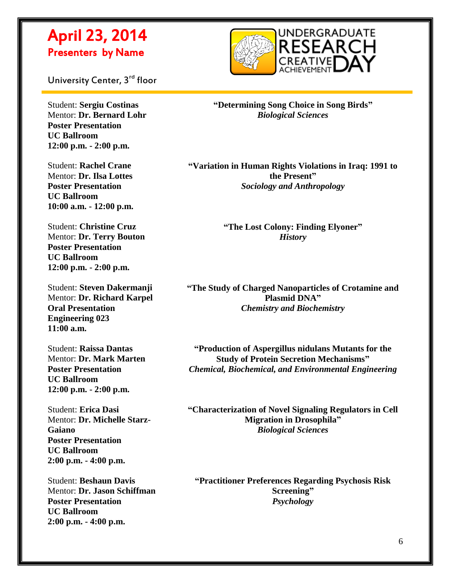

University Center, 3<sup>rd</sup> floor

Student: **Sergiu Costinas** Mentor: **Dr. Bernard Lohr Poster Presentation UC Ballroom 12:00 p.m. - 2:00 p.m.**

 $\overline{a}$ 

Student: **Rachel Crane** Mentor: **Dr. Ilsa Lottes Poster Presentation UC Ballroom 10:00 a.m. - 12:00 p.m.**

Student: **Christine Cruz** Mentor: **Dr. Terry Bouton Poster Presentation UC Ballroom 12:00 p.m. - 2:00 p.m.**

Student: **Steven Dakermanji** Mentor: **Dr. Richard Karpel Oral Presentation Engineering 023 11:00 a.m.**

Student: **Raissa Dantas** Mentor: **Dr. Mark Marten Poster Presentation UC Ballroom 12:00 p.m. - 2:00 p.m.**

Student: **Erica Dasi** Mentor: **Dr. Michelle Starz-Gaiano Poster Presentation UC Ballroom 2:00 p.m. - 4:00 p.m.**

Student: **Beshaun Davis** Mentor: **Dr. Jason Schiffman Poster Presentation UC Ballroom 2:00 p.m. - 4:00 p.m.**

**"Determining Song Choice in Song Birds"** *Biological Sciences*

**"Variation in Human Rights Violations in Iraq: 1991 to the Present"** *Sociology and Anthropology*

> **"The Lost Colony: Finding Elyoner"** *History*

**"The Study of Charged Nanoparticles of Crotamine and Plasmid DNA"** *Chemistry and Biochemistry*

**"Production of Aspergillus nidulans Mutants for the Study of Protein Secretion Mechanisms"** *Chemical, Biochemical, and Environmental Engineering*

**"Characterization of Novel Signaling Regulators in Cell Migration in Drosophila"** *Biological Sciences*

**"Practitioner Preferences Regarding Psychosis Risk Screening"** *Psychology*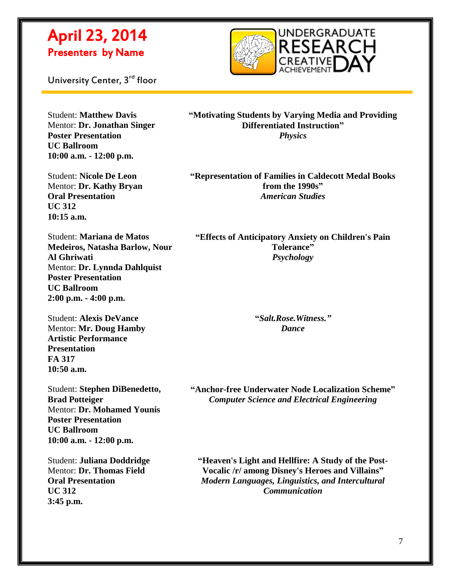

University Center, 3<sup>rd</sup> floor

 $\overline{a}$ 

Student: **Matthew Davis** Mentor: **Dr. Jonathan Singer Poster Presentation UC Ballroom 10:00 a.m. - 12:00 p.m.**

Student: **Nicole De Leon** Mentor: **Dr. Kathy Bryan Oral Presentation UC 312 10:15 a.m.**

**"Motivating Students by Varying Media and Providing Differentiated Instruction"** *Physics*

**"Representation of Families in Caldecott Medal Books from the 1990s"** *American Studies*

Student: **Mariana de Matos Medeiros, Natasha Barlow, Nour Al Ghriwati** Mentor: **Dr. Lynnda Dahlquist Poster Presentation UC Ballroom 2:00 p.m. - 4:00 p.m.**

Student: **Alexis DeVance** Mentor: **Mr. Doug Hamby Artistic Performance Presentation FA 317 10:50 a.m.**

Student: **Stephen DiBenedetto, Brad Potteiger** Mentor: **Dr. Mohamed Younis Poster Presentation UC Ballroom 10:00 a.m. - 12:00 p.m.**

Student: **Juliana Doddridge** Mentor: **Dr. Thomas Field Oral Presentation UC 312 3:45 p.m.**

**"Effects of Anticipatory Anxiety on Children's Pain Tolerance"** *Psychology*

> **"***Salt.Rose.Witness." Dance*

**"Anchor-free Underwater Node Localization Scheme"** *Computer Science and Electrical Engineering*

**"Heaven's Light and Hellfire: A Study of the Post-Vocalic /r/ among Disney's Heroes and Villains"** *Modern Languages, Linguistics, and Intercultural Communication*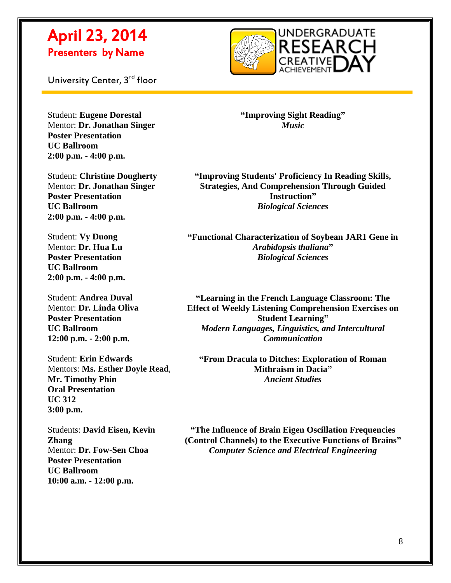

University Center, 3<sup>rd</sup> floor

 $\overline{a}$ 

Student: **Eugene Dorestal** Mentor: **Dr. Jonathan Singer Poster Presentation UC Ballroom 2:00 p.m. - 4:00 p.m.**

Student: **Christine Dougherty** Mentor: **Dr. Jonathan Singer Poster Presentation UC Ballroom 2:00 p.m. - 4:00 p.m.**

Student: **Vy Duong** Mentor: **Dr. Hua Lu Poster Presentation UC Ballroom 2:00 p.m. - 4:00 p.m.**

Student: **Andrea Duval** Mentor: **Dr. Linda Oliva Poster Presentation UC Ballroom 12:00 p.m. - 2:00 p.m.**

Student: **Erin Edwards** Mentors: **Ms. Esther Doyle Read**, **Mr. Timothy Phin Oral Presentation UC 312 3:00 p.m.**

Students: **David Eisen, Kevin Zhang** Mentor: **Dr. Fow-Sen Choa Poster Presentation UC Ballroom 10:00 a.m. - 12:00 p.m.**

**"Improving Sight Reading"** *Music*

**"Improving Students' Proficiency In Reading Skills, Strategies, And Comprehension Through Guided Instruction"** *Biological Sciences*

**"Functional Characterization of Soybean JAR1 Gene in**  *Arabidopsis thaliana***"** *Biological Sciences*

**"Learning in the French Language Classroom: The Effect of Weekly Listening Comprehension Exercises on Student Learning"** *Modern Languages, Linguistics, and Intercultural Communication*

**"From Dracula to Ditches: Exploration of Roman Mithraism in Dacia"** *Ancient Studies*

**"The Influence of Brain Eigen Oscillation Frequencies (Control Channels) to the Executive Functions of Brains"** *Computer Science and Electrical Engineering*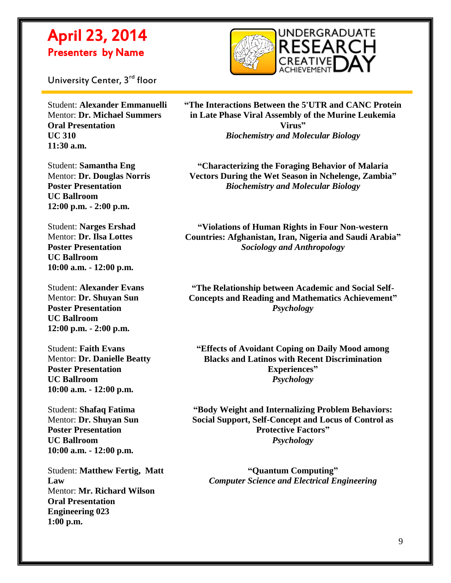

University Center, 3<sup>rd</sup> floor

 $\overline{a}$ 

Student: **Alexander Emmanuelli** Mentor: **Dr. Michael Summers Oral Presentation UC 310 11:30 a.m.**

Student: **Samantha Eng** Mentor: **Dr. Douglas Norris Poster Presentation UC Ballroom 12:00 p.m. - 2:00 p.m.**

Student: **Narges Ershad** Mentor: **Dr. Ilsa Lottes Poster Presentation UC Ballroom 10:00 a.m. - 12:00 p.m.**

Student: **Alexander Evans** Mentor: **Dr. Shuyan Sun Poster Presentation UC Ballroom 12:00 p.m. - 2:00 p.m.**

Student: **Faith Evans** Mentor: **Dr. Danielle Beatty Poster Presentation UC Ballroom 10:00 a.m. - 12:00 p.m.**

Student: **Shafaq Fatima** Mentor: **Dr. Shuyan Sun Poster Presentation UC Ballroom 10:00 a.m. - 12:00 p.m.**

Student: **Matthew Fertig, Matt Law** Mentor: **Mr. Richard Wilson Oral Presentation Engineering 023 1:00 p.m.**

**"The Interactions Between the 5'UTR and CANC Protein in Late Phase Viral Assembly of the Murine Leukemia Virus"** *Biochemistry and Molecular Biology*

**"Characterizing the Foraging Behavior of Malaria Vectors During the Wet Season in Nchelenge, Zambia"** *Biochemistry and Molecular Biology*

**"Violations of Human Rights in Four Non-western Countries: Afghanistan, Iran, Nigeria and Saudi Arabia"** *Sociology and Anthropology*

**"The Relationship between Academic and Social Self-Concepts and Reading and Mathematics Achievement"** *Psychology*

**"Effects of Avoidant Coping on Daily Mood among Blacks and Latinos with Recent Discrimination Experiences"** *Psychology*

**"Body Weight and Internalizing Problem Behaviors: Social Support, Self-Concept and Locus of Control as Protective Factors"** *Psychology*

**"Quantum Computing"** *Computer Science and Electrical Engineering*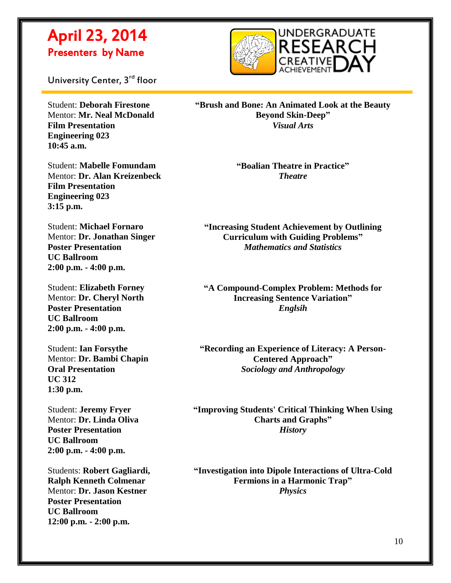

University Center, 3<sup>rd</sup> floor

 $\overline{a}$ 

Student: **Deborah Firestone** Mentor: **Mr. Neal McDonald Film Presentation Engineering 023 10:45 a.m.**

Student: **Mabelle Fomundam** Mentor: **Dr. Alan Kreizenbeck Film Presentation Engineering 023 3:15 p.m.**

Student: **Michael Fornaro** Mentor: **Dr. Jonathan Singer Poster Presentation UC Ballroom 2:00 p.m. - 4:00 p.m.**

Student: **Elizabeth Forney** Mentor: **Dr. Cheryl North Poster Presentation UC Ballroom 2:00 p.m. - 4:00 p.m.**

Student: **Ian Forsythe** Mentor: **Dr. Bambi Chapin Oral Presentation UC 312 1:30 p.m.**

Student: **Jeremy Fryer** Mentor: **Dr. Linda Oliva Poster Presentation UC Ballroom 2:00 p.m. - 4:00 p.m.**

Students: **Robert Gagliardi, Ralph Kenneth Colmenar** Mentor: **Dr. Jason Kestner Poster Presentation UC Ballroom 12:00 p.m. - 2:00 p.m.**

**"Brush and Bone: An Animated Look at the Beauty Beyond Skin-Deep"** *Visual Arts*

> **"Boalian Theatre in Practice"** *Theatre*

**"Increasing Student Achievement by Outlining Curriculum with Guiding Problems"** *Mathematics and Statistics*

**"A Compound-Complex Problem: Methods for Increasing Sentence Variation"** *Englsih*

**"Recording an Experience of Literacy: A Person-Centered Approach"** *Sociology and Anthropology*

**"Improving Students' Critical Thinking When Using Charts and Graphs"** *History*

**"Investigation into Dipole Interactions of Ultra-Cold Fermions in a Harmonic Trap"** *Physics*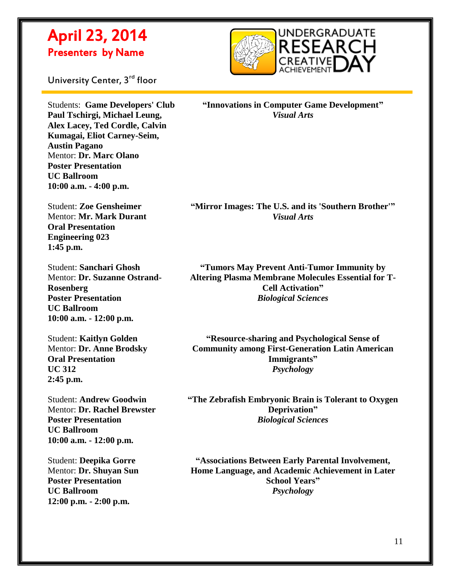

University Center, 3<sup>rd</sup> floor

 $\overline{a}$ 

Students: **Game Developers' Club Paul Tschirgi, Michael Leung, Alex Lacey, Ted Cordle, Calvin Kumagai, Eliot Carney-Seim, Austin Pagano** Mentor: **Dr. Marc Olano Poster Presentation UC Ballroom 10:00 a.m. - 4:00 p.m.**

Student: **Zoe Gensheimer** Mentor: **Mr. Mark Durant Oral Presentation Engineering 023 1:45 p.m.**

Student: **Sanchari Ghosh** Mentor: **Dr. Suzanne Ostrand-Rosenberg Poster Presentation UC Ballroom 10:00 a.m. - 12:00 p.m.**

Student: **Kaitlyn Golden** Mentor: **Dr. Anne Brodsky Oral Presentation UC 312 2:45 p.m.**

Student: **Andrew Goodwin** Mentor: **Dr. Rachel Brewster Poster Presentation UC Ballroom 10:00 a.m. - 12:00 p.m.**

Student: **Deepika Gorre** Mentor: **Dr. Shuyan Sun Poster Presentation UC Ballroom 12:00 p.m. - 2:00 p.m.**

**"Innovations in Computer Game Development"** *Visual Arts*

**"Mirror Images: The U.S. and its 'Southern Brother'"** *Visual Arts*

**"Tumors May Prevent Anti-Tumor Immunity by Altering Plasma Membrane Molecules Essential for T-Cell Activation"** *Biological Sciences*

**"Resource-sharing and Psychological Sense of Community among First-Generation Latin American Immigrants"** *Psychology*

**"The Zebrafish Embryonic Brain is Tolerant to Oxygen Deprivation"** *Biological Sciences*

**"Associations Between Early Parental Involvement, Home Language, and Academic Achievement in Later School Years"** *Psychology*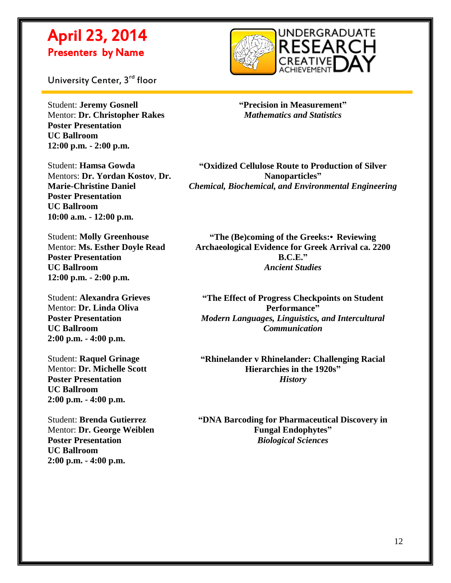

University Center, 3<sup>rd</sup> floor

 $\overline{a}$ 

Student: **Jeremy Gosnell** Mentor: **Dr. Christopher Rakes Poster Presentation UC Ballroom 12:00 p.m. - 2:00 p.m.**

Student: **Hamsa Gowda** Mentors: **Dr. Yordan Kostov**, **Dr. Marie-Christine Daniel Poster Presentation UC Ballroom 10:00 a.m. - 12:00 p.m.**

Student: **Molly Greenhouse** Mentor: **Ms. Esther Doyle Read Poster Presentation UC Ballroom 12:00 p.m. - 2:00 p.m.**

Student: **Alexandra Grieves** Mentor: **Dr. Linda Oliva Poster Presentation UC Ballroom 2:00 p.m. - 4:00 p.m.**

Student: **Raquel Grinage** Mentor: **Dr. Michelle Scott Poster Presentation UC Ballroom 2:00 p.m. - 4:00 p.m.**

Student: **Brenda Gutierrez** Mentor: **Dr. George Weiblen Poster Presentation UC Ballroom 2:00 p.m. - 4:00 p.m.**

**"Precision in Measurement"** *Mathematics and Statistics*

**"Oxidized Cellulose Route to Production of Silver Nanoparticles"** *Chemical, Biochemical, and Environmental Engineering*

**"The (Be)coming of the Greeks:•Reviewing Archaeological Evidence for Greek Arrival ca. 2200 B.C.E."** *Ancient Studies*

**"The Effect of Progress Checkpoints on Student Performance"** *Modern Languages, Linguistics, and Intercultural Communication*

**"Rhinelander v Rhinelander: Challenging Racial Hierarchies in the 1920s"** *History*

**"DNA Barcoding for Pharmaceutical Discovery in Fungal Endophytes"** *Biological Sciences*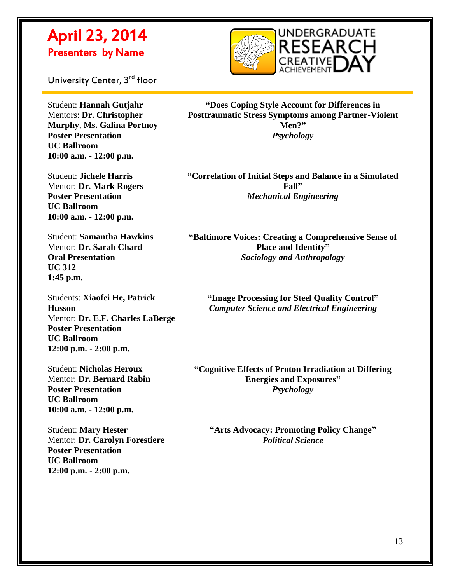

University Center, 3<sup>rd</sup> floor

 $\overline{a}$ 

Student: **Hannah Gutjahr** Mentors: **Dr. Christopher Murphy**, **Ms. Galina Portnoy Poster Presentation UC Ballroom 10:00 a.m. - 12:00 p.m.**

Student: **Jichele Harris** Mentor: **Dr. Mark Rogers Poster Presentation UC Ballroom 10:00 a.m. - 12:00 p.m.**

Student: **Samantha Hawkins** Mentor: **Dr. Sarah Chard Oral Presentation UC 312 1:45 p.m.**

Students: **Xiaofei He, Patrick Husson** Mentor: **Dr. E.F. Charles LaBerge Poster Presentation UC Ballroom 12:00 p.m. - 2:00 p.m.**

Student: **Nicholas Heroux** Mentor: **Dr. Bernard Rabin Poster Presentation UC Ballroom 10:00 a.m. - 12:00 p.m.**

Student: **Mary Hester** Mentor: **Dr. Carolyn Forestiere Poster Presentation UC Ballroom 12:00 p.m. - 2:00 p.m.**

**"Does Coping Style Account for Differences in Posttraumatic Stress Symptoms among Partner-Violent Men?"** *Psychology*

**"Correlation of Initial Steps and Balance in a Simulated Fall"** *Mechanical Engineering*

**"Baltimore Voices: Creating a Comprehensive Sense of Place and Identity"** *Sociology and Anthropology*

**"Image Processing for Steel Quality Control"** *Computer Science and Electrical Engineering*

**"Cognitive Effects of Proton Irradiation at Differing Energies and Exposures"** *Psychology*

**"Arts Advocacy: Promoting Policy Change"** *Political Science*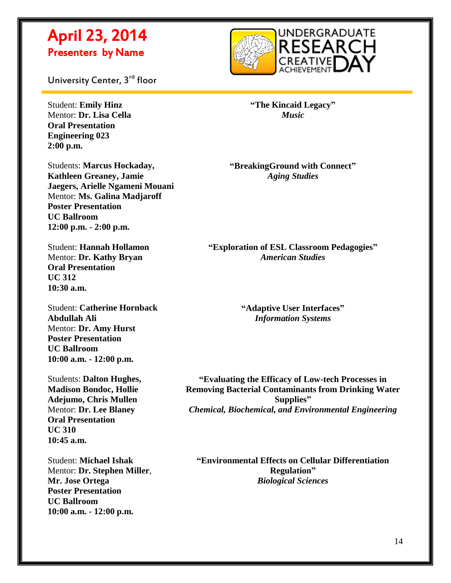

University Center, 3<sup>rd</sup> floor

Student: **Emily Hinz** Mentor: **Dr. Lisa Cella Oral Presentation Engineering 023 2:00 p.m.**

 $\overline{a}$ 

Students: **Marcus Hockaday, Kathleen Greaney, Jamie Jaegers, Arielle Ngameni Mouani** Mentor: **Ms. Galina Madjaroff Poster Presentation UC Ballroom 12:00 p.m. - 2:00 p.m.**

Student: **Hannah Hollamon** Mentor: **Dr. Kathy Bryan Oral Presentation UC 312 10:30 a.m.**

Student: **Catherine Hornback Abdullah Ali** Mentor: **Dr. Amy Hurst Poster Presentation UC Ballroom 10:00 a.m. - 12:00 p.m.**

Students: **Dalton Hughes, Madison Bondoc, Hollie Adejumo, Chris Mullen** Mentor: **Dr. Lee Blaney Oral Presentation UC 310 10:45 a.m.**

Student: **Michael Ishak** Mentor: **Dr. Stephen Miller**, **Mr. Jose Ortega Poster Presentation UC Ballroom 10:00 a.m. - 12:00 p.m.**

**"The Kincaid Legacy"** *Music*

**"BreakingGround with Connect"** *Aging Studies*

**"Exploration of ESL Classroom Pedagogies"** *American Studies*

> **"Adaptive User Interfaces"** *Information Systems*

**"Evaluating the Efficacy of Low-tech Processes in Removing Bacterial Contaminants from Drinking Water Supplies"** *Chemical, Biochemical, and Environmental Engineering*

**"Environmental Effects on Cellular Differentiation Regulation"** *Biological Sciences*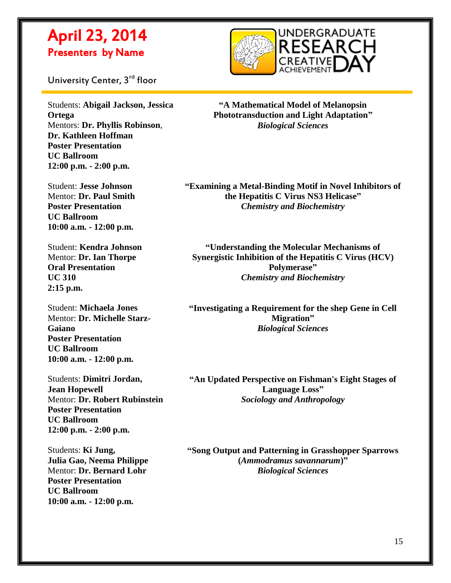

University Center, 3<sup>rd</sup> floor

 $\overline{a}$ 

Students: **Abigail Jackson, Jessica Ortega** Mentors: **Dr. Phyllis Robinson**, **Dr. Kathleen Hoffman Poster Presentation UC Ballroom 12:00 p.m. - 2:00 p.m.**

Student: **Jesse Johnson** Mentor: **Dr. Paul Smith Poster Presentation UC Ballroom 10:00 a.m. - 12:00 p.m.**

Student: **Kendra Johnson** Mentor: **Dr. Ian Thorpe Oral Presentation UC 310 2:15 p.m.**

Student: **Michaela Jones** Mentor: **Dr. Michelle Starz-Gaiano Poster Presentation UC Ballroom 10:00 a.m. - 12:00 p.m.**

Students: **Dimitri Jordan, Jean Hopewell** Mentor: **Dr. Robert Rubinstein Poster Presentation UC Ballroom 12:00 p.m. - 2:00 p.m.**

Students: **Ki Jung, Julia Gao, Neema Philippe** Mentor: **Dr. Bernard Lohr Poster Presentation UC Ballroom 10:00 a.m. - 12:00 p.m.**

**"A Mathematical Model of Melanopsin Phototransduction and Light Adaptation"** *Biological Sciences*

**"Examining a Metal-Binding Motif in Novel Inhibitors of the Hepatitis C Virus NS3 Helicase"** *Chemistry and Biochemistry*

**"Understanding the Molecular Mechanisms of Synergistic Inhibition of the Hepatitis C Virus (HCV) Polymerase"** *Chemistry and Biochemistry*

**"Investigating a Requirement for the shep Gene in Cell Migration"** *Biological Sciences*

**"An Updated Perspective on Fishman's Eight Stages of Language Loss"** *Sociology and Anthropology*

**"Song Output and Patterning in Grasshopper Sparrows (***Ammodramus savannarum***)"** *Biological Sciences*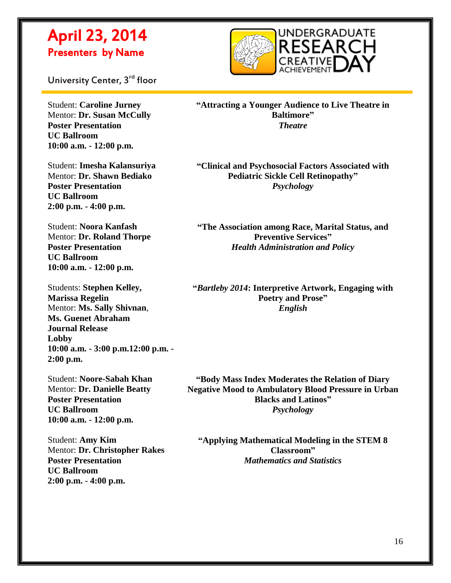

University Center, 3<sup>rd</sup> floor

 $\overline{a}$ 

Student: **Caroline Jurney** Mentor: **Dr. Susan McCully Poster Presentation UC Ballroom 10:00 a.m. - 12:00 p.m.**

Student: **Imesha Kalansuriya** Mentor: **Dr. Shawn Bediako Poster Presentation UC Ballroom 2:00 p.m. - 4:00 p.m.**

Student: **Noora Kanfash** Mentor: **Dr. Roland Thorpe Poster Presentation UC Ballroom 10:00 a.m. - 12:00 p.m.**

Students: **Stephen Kelley, Marissa Regelin** Mentor: **Ms. Sally Shivnan**, **Ms. Guenet Abraham Journal Release Lobby 10:00 a.m. - 3:00 p.m.12:00 p.m. - 2:00 p.m.**

Student: **Noore-Sabah Khan** Mentor: **Dr. Danielle Beatty Poster Presentation UC Ballroom 10:00 a.m. - 12:00 p.m.**

Student: **Amy Kim** Mentor: **Dr. Christopher Rakes Poster Presentation UC Ballroom 2:00 p.m. - 4:00 p.m.**

**"Attracting a Younger Audience to Live Theatre in Baltimore"** *Theatre*

**"Clinical and Psychosocial Factors Associated with Pediatric Sickle Cell Retinopathy"** *Psychology*

**"The Association among Race, Marital Status, and Preventive Services"** *Health Administration and Policy*

**"***Bartleby 2014***: Interpretive Artwork, Engaging with Poetry and Prose"** *English*

**"Body Mass Index Moderates the Relation of Diary Negative Mood to Ambulatory Blood Pressure in Urban Blacks and Latinos"** *Psychology*

**"Applying Mathematical Modeling in the STEM 8 Classroom"** *Mathematics and Statistics*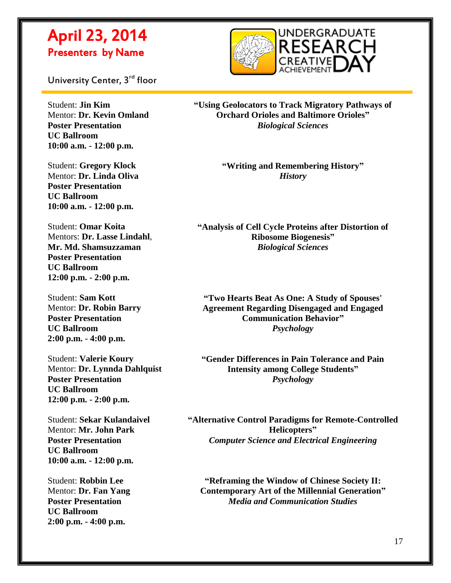

University Center, 3<sup>rd</sup> floor

 $\overline{a}$ 

Student: **Jin Kim** Mentor: **Dr. Kevin Omland Poster Presentation UC Ballroom 10:00 a.m. - 12:00 p.m.**

Student: **Gregory Klock** Mentor: **Dr. Linda Oliva Poster Presentation UC Ballroom 10:00 a.m. - 12:00 p.m.**

Student: **Omar Koita** Mentors: **Dr. Lasse Lindahl**, **Mr. Md. Shamsuzzaman Poster Presentation UC Ballroom 12:00 p.m. - 2:00 p.m.**

Student: **Sam Kott** Mentor: **Dr. Robin Barry Poster Presentation UC Ballroom 2:00 p.m. - 4:00 p.m.**

Student: **Valerie Koury** Mentor: **Dr. Lynnda Dahlquist Poster Presentation UC Ballroom 12:00 p.m. - 2:00 p.m.**

Student: **Sekar Kulandaivel** Mentor: **Mr. John Park Poster Presentation UC Ballroom 10:00 a.m. - 12:00 p.m.**

Student: **Robbin Lee** Mentor: **Dr. Fan Yang Poster Presentation UC Ballroom 2:00 p.m. - 4:00 p.m.**

**"Using Geolocators to Track Migratory Pathways of Orchard Orioles and Baltimore Orioles"** *Biological Sciences*

> **"Writing and Remembering History"** *History*

**"Analysis of Cell Cycle Proteins after Distortion of Ribosome Biogenesis"** *Biological Sciences*

**"Two Hearts Beat As One: A Study of Spouses' Agreement Regarding Disengaged and Engaged Communication Behavior"** *Psychology*

**"Gender Differences in Pain Tolerance and Pain Intensity among College Students"** *Psychology*

**"Alternative Control Paradigms for Remote-Controlled Helicopters"** *Computer Science and Electrical Engineering*

**"Reframing the Window of Chinese Society II: Contemporary Art of the Millennial Generation"** *Media and Communication Studies*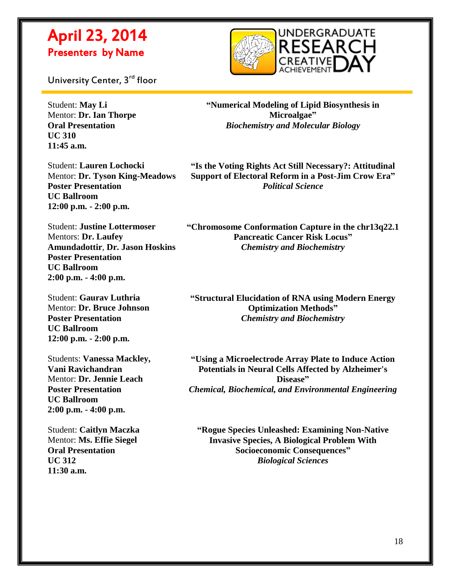

University Center, 3<sup>rd</sup> floor

Student: **May Li** Mentor: **Dr. Ian Thorpe Oral Presentation UC 310 11:45 a.m.**

 $\overline{a}$ 

**"Numerical Modeling of Lipid Biosynthesis in Microalgae"** *Biochemistry and Molecular Biology*

Student: **Lauren Lochocki** Mentor: **Dr. Tyson King-Meadows Poster Presentation UC Ballroom 12:00 p.m. - 2:00 p.m.**

**"Is the Voting Rights Act Still Necessary?: Attitudinal Support of Electoral Reform in a Post-Jim Crow Era"** *Political Science*

Student: **Justine Lottermoser** Mentors: **Dr. Laufey Amundadottir**, **Dr. Jason Hoskins Poster Presentation UC Ballroom 2:00 p.m. - 4:00 p.m.**

Student: **Gaurav Luthria** Mentor: **Dr. Bruce Johnson Poster Presentation UC Ballroom 12:00 p.m. - 2:00 p.m.**

Students: **Vanessa Mackley, Vani Ravichandran** Mentor: **Dr. Jennie Leach Poster Presentation UC Ballroom 2:00 p.m. - 4:00 p.m.**

Student: **Caitlyn Maczka** Mentor: **Ms. Effie Siegel Oral Presentation UC 312 11:30 a.m.**

**"Chromosome Conformation Capture in the chr13q22.1 Pancreatic Cancer Risk Locus"** *Chemistry and Biochemistry*

**"Structural Elucidation of RNA using Modern Energy Optimization Methods"** *Chemistry and Biochemistry*

**"Using a Microelectrode Array Plate to Induce Action Potentials in Neural Cells Affected by Alzheimer's Disease"** *Chemical, Biochemical, and Environmental Engineering*

**"Rogue Species Unleashed: Examining Non-Native Invasive Species, A Biological Problem With Socioeconomic Consequences"** *Biological Sciences*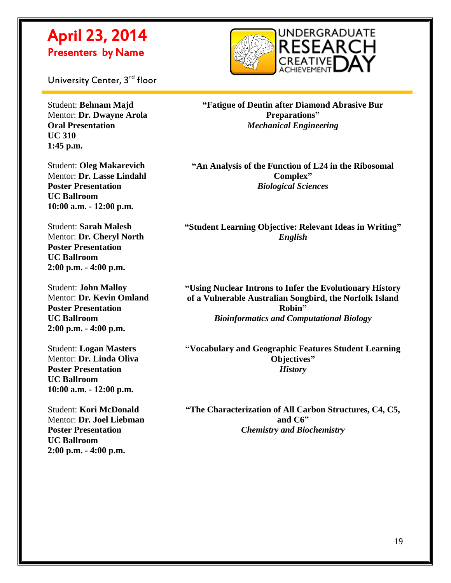

University Center, 3<sup>rd</sup> floor

 $\overline{a}$ 

Student: **Behnam Majd** Mentor: **Dr. Dwayne Arola Oral Presentation UC 310 1:45 p.m.**

Student: **Oleg Makarevich** Mentor: **Dr. Lasse Lindahl Poster Presentation UC Ballroom 10:00 a.m. - 12:00 p.m.**

Student: **Sarah Malesh** Mentor: **Dr. Cheryl North Poster Presentation UC Ballroom 2:00 p.m. - 4:00 p.m.**

Student: **John Malloy** Mentor: **Dr. Kevin Omland Poster Presentation UC Ballroom 2:00 p.m. - 4:00 p.m.**

Student: **Logan Masters** Mentor: **Dr. Linda Oliva Poster Presentation UC Ballroom 10:00 a.m. - 12:00 p.m.**

Student: **Kori McDonald** Mentor: **Dr. Joel Liebman Poster Presentation UC Ballroom 2:00 p.m. - 4:00 p.m.**

**"Fatigue of Dentin after Diamond Abrasive Bur Preparations"** *Mechanical Engineering*

**"An Analysis of the Function of L24 in the Ribosomal Complex"** *Biological Sciences*

**"Student Learning Objective: Relevant Ideas in Writing"** *English*

**"Using Nuclear Introns to Infer the Evolutionary History of a Vulnerable Australian Songbird, the Norfolk Island Robin"** *Bioinformatics and Computational Biology*

**"Vocabulary and Geographic Features Student Learning Objectives"** *History*

**"The Characterization of All Carbon Structures, C4, C5, and C6"** *Chemistry and Biochemistry*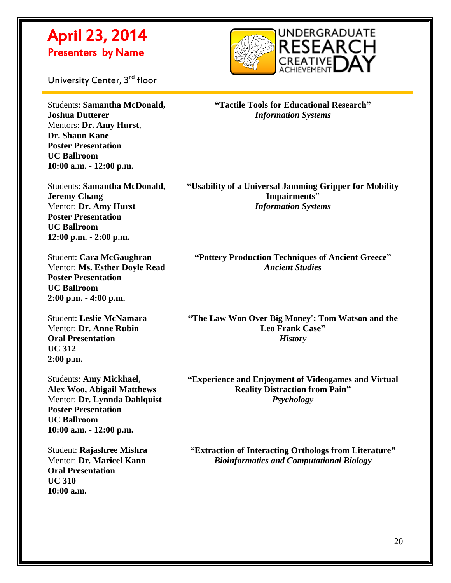

University Center, 3<sup>rd</sup> floor

 $\overline{a}$ 

Students: **Samantha McDonald, Joshua Dutterer** Mentors: **Dr. Amy Hurst**, **Dr. Shaun Kane Poster Presentation UC Ballroom 10:00 a.m. - 12:00 p.m.**

**"Tactile Tools for Educational Research"** *Information Systems*

Students: **Samantha McDonald, Jeremy Chang** Mentor: **Dr. Amy Hurst Poster Presentation UC Ballroom 12:00 p.m. - 2:00 p.m.**

Student: **Cara McGaughran** Mentor: **Ms. Esther Doyle Read Poster Presentation UC Ballroom 2:00 p.m. - 4:00 p.m.**

Student: **Leslie McNamara** Mentor: **Dr. Anne Rubin Oral Presentation UC 312 2:00 p.m.**

Students: **Amy Mickhael, Alex Woo, Abigail Matthews** Mentor: **Dr. Lynnda Dahlquist Poster Presentation UC Ballroom 10:00 a.m. - 12:00 p.m.**

Student: **Rajashree Mishra** Mentor: **Dr. Maricel Kann Oral Presentation UC 310 10:00 a.m.**

**"Usability of a Universal Jamming Gripper for Mobility Impairments"** *Information Systems*

**"Pottery Production Techniques of Ancient Greece"** *Ancient Studies*

**"The Law Won Over Big Money': Tom Watson and the Leo Frank Case"** *History*

**"Experience and Enjoyment of Videogames and Virtual Reality Distraction from Pain"** *Psychology*

**"Extraction of Interacting Orthologs from Literature"** *Bioinformatics and Computational Biology*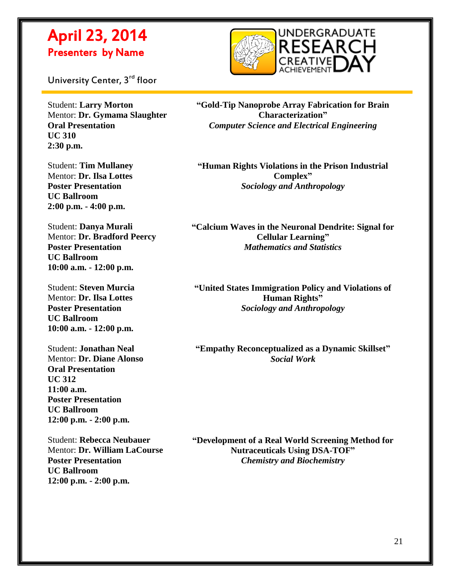

University Center, 3<sup>rd</sup> floor

 $\overline{a}$ 

Student: **Larry Morton** Mentor: **Dr. Gymama Slaughter Oral Presentation UC 310 2:30 p.m.**

Student: **Tim Mullaney** Mentor: **Dr. Ilsa Lottes Poster Presentation UC Ballroom 2:00 p.m. - 4:00 p.m.**

Student: **Danya Murali** Mentor: **Dr. Bradford Peercy Poster Presentation UC Ballroom 10:00 a.m. - 12:00 p.m.**

Student: **Steven Murcia** Mentor: **Dr. Ilsa Lottes Poster Presentation UC Ballroom 10:00 a.m. - 12:00 p.m.**

Student: **Jonathan Neal** Mentor: **Dr. Diane Alonso Oral Presentation UC 312 11:00 a.m. Poster Presentation UC Ballroom 12:00 p.m. - 2:00 p.m.**

Student: **Rebecca Neubauer** Mentor: **Dr. William LaCourse Poster Presentation UC Ballroom 12:00 p.m. - 2:00 p.m.**

**"Gold-Tip Nanoprobe Array Fabrication for Brain Characterization"** *Computer Science and Electrical Engineering*

**"Human Rights Violations in the Prison Industrial Complex"** *Sociology and Anthropology*

**"Calcium Waves in the Neuronal Dendrite: Signal for Cellular Learning"** *Mathematics and Statistics*

**"United States Immigration Policy and Violations of Human Rights"** *Sociology and Anthropology*

**"Empathy Reconceptualized as a Dynamic Skillset"** *Social Work*

**"Development of a Real World Screening Method for Nutraceuticals Using DSA-TOF"** *Chemistry and Biochemistry*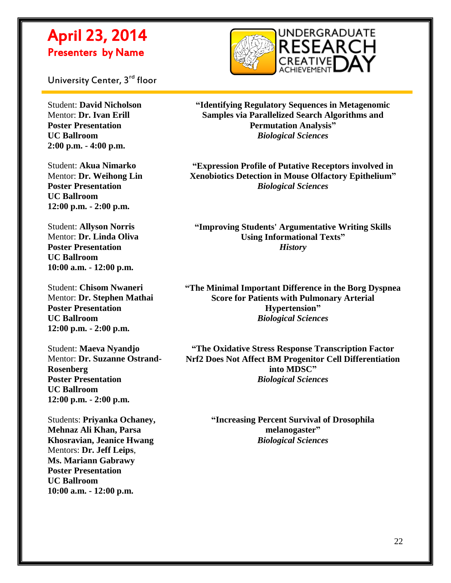

University Center, 3<sup>rd</sup> floor

Student: **David Nicholson** Mentor: **Dr. Ivan Erill Poster Presentation UC Ballroom 2:00 p.m. - 4:00 p.m.**

 $\overline{a}$ 

Student: **Akua Nimarko** Mentor: **Dr. Weihong Lin Poster Presentation UC Ballroom 12:00 p.m. - 2:00 p.m.**

Student: **Allyson Norris** Mentor: **Dr. Linda Oliva Poster Presentation UC Ballroom 10:00 a.m. - 12:00 p.m.**

Student: **Chisom Nwaneri** Mentor: **Dr. Stephen Mathai Poster Presentation UC Ballroom 12:00 p.m. - 2:00 p.m.**

Student: **Maeva Nyandjo** Mentor: **Dr. Suzanne Ostrand-Rosenberg Poster Presentation UC Ballroom 12:00 p.m. - 2:00 p.m.**

Students: **Priyanka Ochaney, Mehnaz Ali Khan, Parsa Khosravian, Jeanice Hwang** Mentors: **Dr. Jeff Leips**, **Ms. Mariann Gabrawy Poster Presentation UC Ballroom 10:00 a.m. - 12:00 p.m.**

**"Identifying Regulatory Sequences in Metagenomic Samples via Parallelized Search Algorithms and Permutation Analysis"** *Biological Sciences*

**"Expression Profile of Putative Receptors involved in Xenobiotics Detection in Mouse Olfactory Epithelium"** *Biological Sciences*

**"Improving Students' Argumentative Writing Skills Using Informational Texts"** *History*

**"The Minimal Important Difference in the Borg Dyspnea Score for Patients with Pulmonary Arterial Hypertension"** *Biological Sciences*

**"The Oxidative Stress Response Transcription Factor Nrf2 Does Not Affect BM Progenitor Cell Differentiation into MDSC"** *Biological Sciences*

> **"Increasing Percent Survival of Drosophila melanogaster"** *Biological Sciences*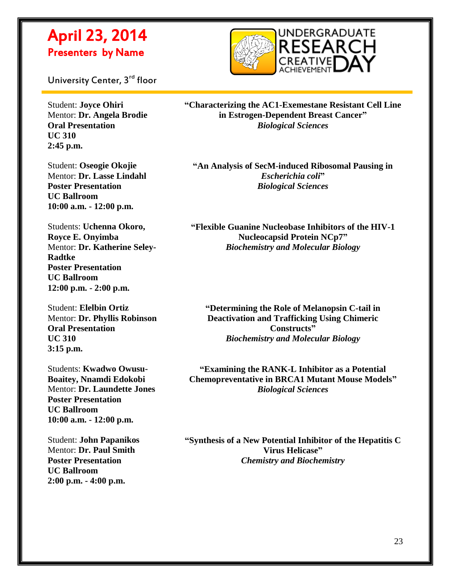

University Center, 3<sup>rd</sup> floor

 $\overline{a}$ 

Student: **Joyce Ohiri** Mentor: **Dr. Angela Brodie Oral Presentation UC 310 2:45 p.m.**

Student: **Oseogie Okojie** Mentor: **Dr. Lasse Lindahl Poster Presentation UC Ballroom 10:00 a.m. - 12:00 p.m.**

Students: **Uchenna Okoro, Royce E. Onyimba** Mentor: **Dr. Katherine Seley-Radtke Poster Presentation UC Ballroom 12:00 p.m. - 2:00 p.m.**

Student: **Elelbin Ortiz** Mentor: **Dr. Phyllis Robinson Oral Presentation UC 310 3:15 p.m.**

Students: **Kwadwo Owusu-Boaitey, Nnamdi Edokobi** Mentor: **Dr. Laundette Jones Poster Presentation UC Ballroom 10:00 a.m. - 12:00 p.m.**

Student: **John Papanikos** Mentor: **Dr. Paul Smith Poster Presentation UC Ballroom 2:00 p.m. - 4:00 p.m.**

**"Characterizing the AC1-Exemestane Resistant Cell Line in Estrogen-Dependent Breast Cancer"** *Biological Sciences*

**"An Analysis of SecM-induced Ribosomal Pausing in**  *Escherichia coli***"** *Biological Sciences*

**"Flexible Guanine Nucleobase Inhibitors of the HIV-1 Nucleocapsid Protein NCp7"** *Biochemistry and Molecular Biology*

**"Determining the Role of Melanopsin C-tail in Deactivation and Trafficking Using Chimeric Constructs"** *Biochemistry and Molecular Biology*

**"Examining the RANK-L Inhibitor as a Potential Chemopreventative in BRCA1 Mutant Mouse Models"** *Biological Sciences*

**"Synthesis of a New Potential Inhibitor of the Hepatitis C Virus Helicase"** *Chemistry and Biochemistry*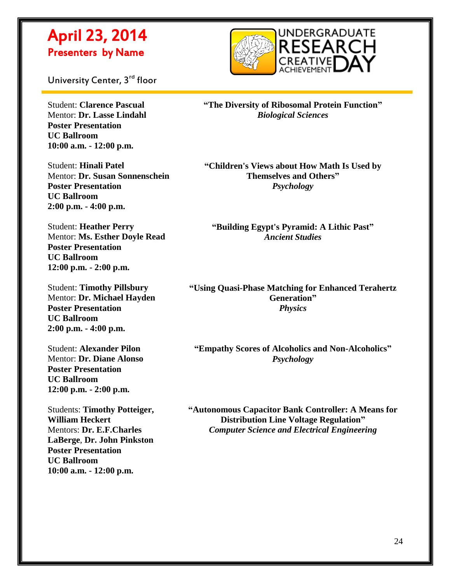

University Center, 3<sup>rd</sup> floor

 $\overline{a}$ 

Student: **Clarence Pascual** Mentor: **Dr. Lasse Lindahl Poster Presentation UC Ballroom 10:00 a.m. - 12:00 p.m.**

Student: **Hinali Patel** Mentor: **Dr. Susan Sonnenschein Poster Presentation UC Ballroom 2:00 p.m. - 4:00 p.m.**

Student: **Heather Perry** Mentor: **Ms. Esther Doyle Read Poster Presentation UC Ballroom 12:00 p.m. - 2:00 p.m.**

Student: **Timothy Pillsbury** Mentor: **Dr. Michael Hayden Poster Presentation UC Ballroom 2:00 p.m. - 4:00 p.m.**

Student: **Alexander Pilon** Mentor: **Dr. Diane Alonso Poster Presentation UC Ballroom 12:00 p.m. - 2:00 p.m.**

Students: **Timothy Potteiger, William Heckert** Mentors: **Dr. E.F.Charles LaBerge**, **Dr. John Pinkston Poster Presentation UC Ballroom 10:00 a.m. - 12:00 p.m.**

**"The Diversity of Ribosomal Protein Function"** *Biological Sciences*

**"Children's Views about How Math Is Used by Themselves and Others"** *Psychology*

**"Building Egypt's Pyramid: A Lithic Past"** *Ancient Studies*

**"Using Quasi-Phase Matching for Enhanced Terahertz Generation"** *Physics*

**"Empathy Scores of Alcoholics and Non-Alcoholics"** *Psychology*

**"Autonomous Capacitor Bank Controller: A Means for Distribution Line Voltage Regulation"** *Computer Science and Electrical Engineering*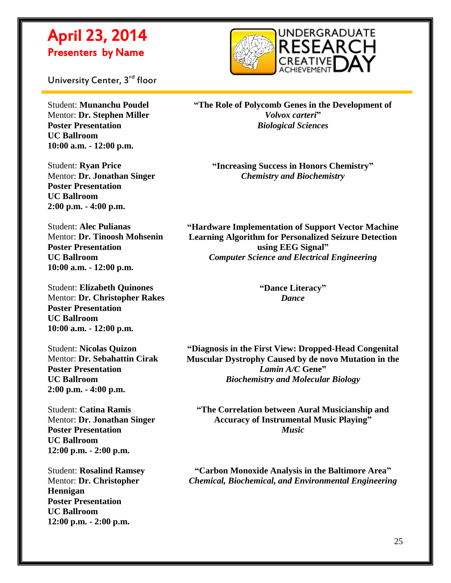

University Center, 3<sup>rd</sup> floor

 $\overline{a}$ 

Student: **Munanchu Poudel** Mentor: **Dr. Stephen Miller Poster Presentation UC Ballroom 10:00 a.m. - 12:00 p.m.**

Student: **Ryan Price** Mentor: **Dr. Jonathan Singer Poster Presentation UC Ballroom 2:00 p.m. - 4:00 p.m.**

Student: **Alec Pulianas** Mentor: **Dr. Tinoosh Mohsenin Poster Presentation UC Ballroom 10:00 a.m. - 12:00 p.m.**

Student: **Elizabeth Quinones** Mentor: **Dr. Christopher Rakes Poster Presentation UC Ballroom 10:00 a.m. - 12:00 p.m.**

Student: **Nicolas Quizon** Mentor: **Dr. Sebahattin Cirak Poster Presentation UC Ballroom 2:00 p.m. - 4:00 p.m.**

Student: **Catina Ramis** Mentor: **Dr. Jonathan Singer Poster Presentation UC Ballroom 12:00 p.m. - 2:00 p.m.**

Student: **Rosalind Ramsey** Mentor: **Dr. Christopher Hennigan Poster Presentation UC Ballroom 12:00 p.m. - 2:00 p.m.**

**"The Role of Polycomb Genes in the Development of**  *Volvox carteri***"** *Biological Sciences*

**"Increasing Success in Honors Chemistry"** *Chemistry and Biochemistry*

**"Hardware Implementation of Support Vector Machine Learning Algorithm for Personalized Seizure Detection using EEG Signal"** *Computer Science and Electrical Engineering*

> **"Dance Literacy"** *Dance*

**"Diagnosis in the First View: Dropped-Head Congenital Muscular Dystrophy Caused by de novo Mutation in the**  *Lamin A/C* **Gene"** *Biochemistry and Molecular Biology*

**"The Correlation between Aural Musicianship and Accuracy of Instrumental Music Playing"** *Music*

**"Carbon Monoxide Analysis in the Baltimore Area"** *Chemical, Biochemical, and Environmental Engineering*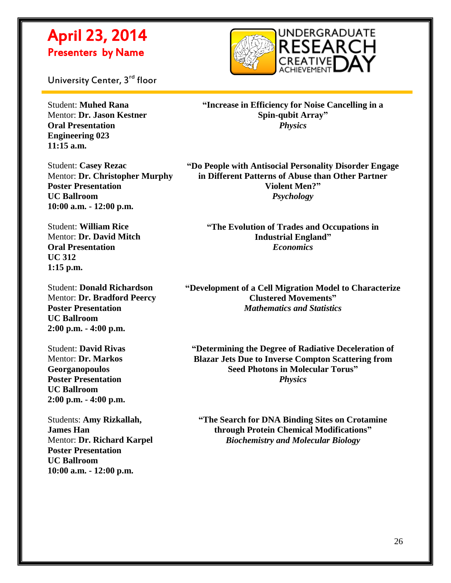

University Center, 3<sup>rd</sup> floor

 $\overline{a}$ 

Student: **Muhed Rana** Mentor: **Dr. Jason Kestner Oral Presentation Engineering 023 11:15 a.m.**

Student: **Casey Rezac** Mentor: **Dr. Christopher Murphy** 

**Poster Presentation UC Ballroom 10:00 a.m. - 12:00 p.m.**

Student: **William Rice** Mentor: **Dr. David Mitch Oral Presentation UC 312 1:15 p.m.**

Student: **Donald Richardson** Mentor: **Dr. Bradford Peercy Poster Presentation UC Ballroom 2:00 p.m. - 4:00 p.m.**

Student: **David Rivas** Mentor: **Dr. Markos Georganopoulos Poster Presentation UC Ballroom 2:00 p.m. - 4:00 p.m.**

Students: **Amy Rizkallah, James Han** Mentor: **Dr. Richard Karpel Poster Presentation UC Ballroom 10:00 a.m. - 12:00 p.m.**

**"Increase in Efficiency for Noise Cancelling in a Spin-qubit Array"** *Physics*

**"Do People with Antisocial Personality Disorder Engage in Different Patterns of Abuse than Other Partner Violent Men?"** *Psychology*

**"The Evolution of Trades and Occupations in Industrial England"** *Economics*

**"Development of a Cell Migration Model to Characterize Clustered Movements"** *Mathematics and Statistics*

**"Determining the Degree of Radiative Deceleration of Blazar Jets Due to Inverse Compton Scattering from Seed Photons in Molecular Torus"** *Physics*

**"The Search for DNA Binding Sites on Crotamine through Protein Chemical Modifications"** *Biochemistry and Molecular Biology*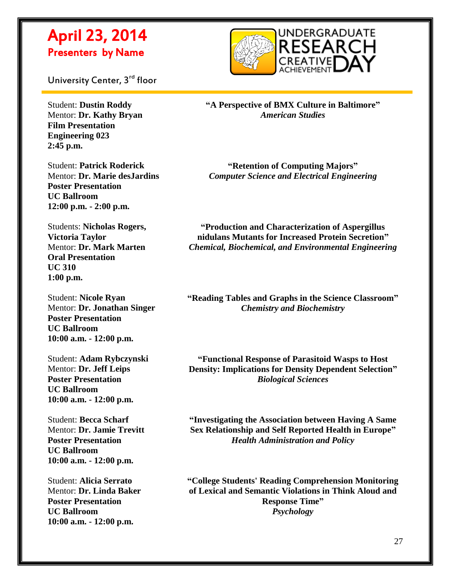

University Center, 3<sup>rd</sup> floor

Student: **Dustin Roddy** Mentor: **Dr. Kathy Bryan Film Presentation Engineering 023 2:45 p.m.**

 $\overline{a}$ 

Student: **Patrick Roderick** Mentor: **Dr. Marie desJardins Poster Presentation UC Ballroom 12:00 p.m. - 2:00 p.m.**

Students: **Nicholas Rogers, Victoria Taylor** Mentor: **Dr. Mark Marten Oral Presentation UC 310 1:00 p.m.**

Student: **Nicole Ryan** Mentor: **Dr. Jonathan Singer Poster Presentation UC Ballroom 10:00 a.m. - 12:00 p.m.**

Student: **Adam Rybczynski** Mentor: **Dr. Jeff Leips Poster Presentation UC Ballroom 10:00 a.m. - 12:00 p.m.**

Student: **Becca Scharf** Mentor: **Dr. Jamie Trevitt Poster Presentation UC Ballroom 10:00 a.m. - 12:00 p.m.**

Student: **Alicia Serrato** Mentor: **Dr. Linda Baker Poster Presentation UC Ballroom 10:00 a.m. - 12:00 p.m.**

**"A Perspective of BMX Culture in Baltimore"** *American Studies*

**"Retention of Computing Majors"** *Computer Science and Electrical Engineering*

**"Production and Characterization of Aspergillus nidulans Mutants for Increased Protein Secretion"** *Chemical, Biochemical, and Environmental Engineering*

**"Reading Tables and Graphs in the Science Classroom"** *Chemistry and Biochemistry*

**"Functional Response of Parasitoid Wasps to Host Density: Implications for Density Dependent Selection"** *Biological Sciences*

**"Investigating the Association between Having A Same Sex Relationship and Self Reported Health in Europe"** *Health Administration and Policy*

**"College Students' Reading Comprehension Monitoring of Lexical and Semantic Violations in Think Aloud and Response Time"** *Psychology*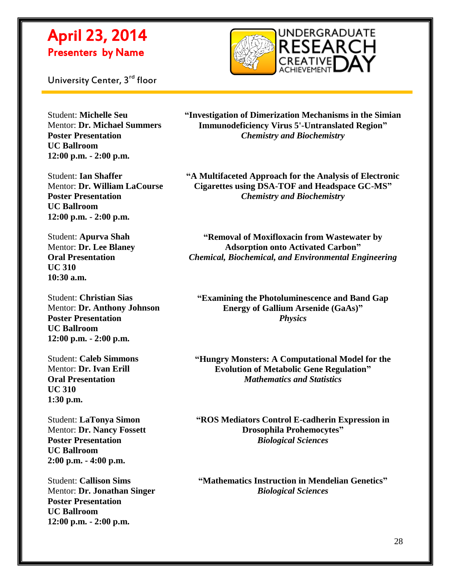

 $\overline{a}$ 



Student: **Michelle Seu** Mentor: **Dr. Michael Summers Poster Presentation UC Ballroom 12:00 p.m. - 2:00 p.m.**

**"Investigation of Dimerization Mechanisms in the Simian Immunodeficiency Virus 5'-Untranslated Region"** *Chemistry and Biochemistry*

Student: **Ian Shaffer** Mentor: **Dr. William LaCourse Poster Presentation UC Ballroom 12:00 p.m. - 2:00 p.m.**

Student: **Apurva Shah** Mentor: **Dr. Lee Blaney Oral Presentation UC 310 10:30 a.m.**

Student: **Christian Sias** Mentor: **Dr. Anthony Johnson Poster Presentation UC Ballroom 12:00 p.m. - 2:00 p.m.**

Student: **Caleb Simmons** Mentor: **Dr. Ivan Erill Oral Presentation UC 310 1:30 p.m.**

Student: **LaTonya Simon** Mentor: **Dr. Nancy Fossett Poster Presentation UC Ballroom 2:00 p.m. - 4:00 p.m.**

Student: **Callison Sims** Mentor: **Dr. Jonathan Singer Poster Presentation UC Ballroom 12:00 p.m. - 2:00 p.m.**

**"A Multifaceted Approach for the Analysis of Electronic Cigarettes using DSA-TOF and Headspace GC-MS"** *Chemistry and Biochemistry*

**"Removal of Moxifloxacin from Wastewater by Adsorption onto Activated Carbon"** *Chemical, Biochemical, and Environmental Engineering*

**"Examining the Photoluminescence and Band Gap Energy of Gallium Arsenide (GaAs)"** *Physics*

**"Hungry Monsters: A Computational Model for the Evolution of Metabolic Gene Regulation"** *Mathematics and Statistics*

**"ROS Mediators Control E-cadherin Expression in Drosophila Prohemocytes"** *Biological Sciences*

**"Mathematics Instruction in Mendelian Genetics"** *Biological Sciences*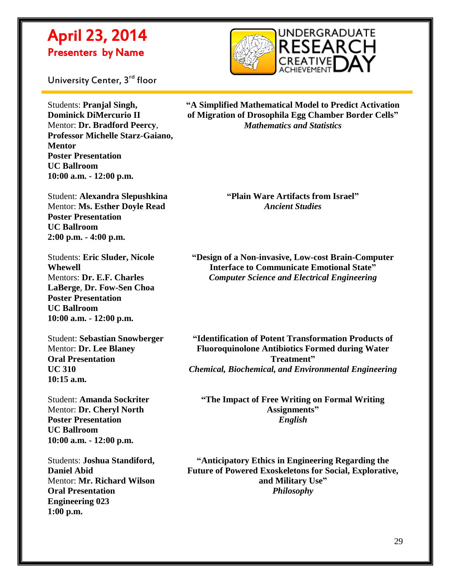

University Center, 3<sup>rd</sup> floor

 $\overline{a}$ 

Students: **Pranjal Singh, Dominick DiMercurio II** Mentor: **Dr. Bradford Peercy**, **Professor Michelle Starz-Gaiano, Mentor Poster Presentation UC Ballroom 10:00 a.m. - 12:00 p.m.**

Student: **Alexandra Slepushkina** Mentor: **Ms. Esther Doyle Read Poster Presentation UC Ballroom 2:00 p.m. - 4:00 p.m.**

Students: **Eric Sluder, Nicole Whewell** Mentors: **Dr. E.F. Charles LaBerge**, **Dr. Fow-Sen Choa Poster Presentation UC Ballroom 10:00 a.m. - 12:00 p.m.**

Student: **Sebastian Snowberger** Mentor: **Dr. Lee Blaney Oral Presentation UC 310 10:15 a.m.**

Student: **Amanda Sockriter** Mentor: **Dr. Cheryl North Poster Presentation UC Ballroom 10:00 a.m. - 12:00 p.m.**

Students: **Joshua Standiford, Daniel Abid** Mentor: **Mr. Richard Wilson Oral Presentation Engineering 023 1:00 p.m.**

**"A Simplified Mathematical Model to Predict Activation of Migration of Drosophila Egg Chamber Border Cells"** *Mathematics and Statistics*

> **"Plain Ware Artifacts from Israel"** *Ancient Studies*

**"Design of a Non-invasive, Low-cost Brain-Computer Interface to Communicate Emotional State"** *Computer Science and Electrical Engineering*

**"Identification of Potent Transformation Products of Fluoroquinolone Antibiotics Formed during Water Treatment"** *Chemical, Biochemical, and Environmental Engineering*

**"The Impact of Free Writing on Formal Writing Assignments"** *English*

**"Anticipatory Ethics in Engineering Regarding the Future of Powered Exoskeletons for Social, Explorative, and Military Use"** *Philosophy*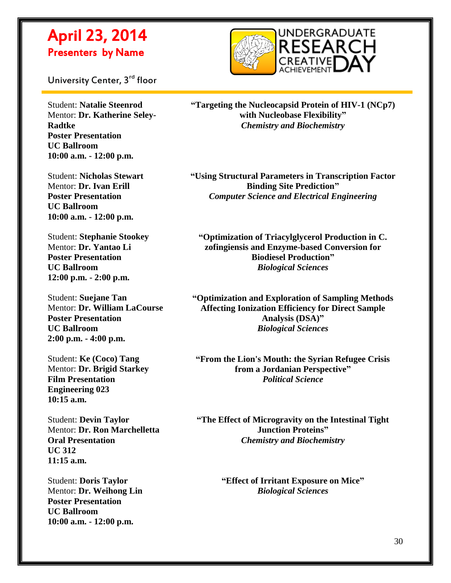

University Center, 3<sup>rd</sup> floor

 $\overline{a}$ 

Student: **Natalie Steenrod** Mentor: **Dr. Katherine Seley-Radtke Poster Presentation UC Ballroom 10:00 a.m. - 12:00 p.m.**

Student: **Nicholas Stewart** Mentor: **Dr. Ivan Erill Poster Presentation UC Ballroom 10:00 a.m. - 12:00 p.m.**

Student: **Stephanie Stookey** Mentor: **Dr. Yantao Li Poster Presentation UC Ballroom 12:00 p.m. - 2:00 p.m.**

Student: **Suejane Tan** Mentor: **Dr. William LaCourse Poster Presentation UC Ballroom 2:00 p.m. - 4:00 p.m.**

Student: **Ke (Coco) Tang** Mentor: **Dr. Brigid Starkey Film Presentation Engineering 023 10:15 a.m.**

Student: **Devin Taylor** Mentor: **Dr. Ron Marchelletta Oral Presentation UC 312 11:15 a.m.**

Student: **Doris Taylor** Mentor: **Dr. Weihong Lin Poster Presentation UC Ballroom 10:00 a.m. - 12:00 p.m.**

**"Targeting the Nucleocapsid Protein of HIV-1 (NCp7) with Nucleobase Flexibility"** *Chemistry and Biochemistry*

**"Using Structural Parameters in Transcription Factor Binding Site Prediction"** *Computer Science and Electrical Engineering*

**"Optimization of Triacylglycerol Production in C. zofingiensis and Enzyme-based Conversion for Biodiesel Production"** *Biological Sciences*

**"Optimization and Exploration of Sampling Methods Affecting Ionization Efficiency for Direct Sample Analysis (DSA)"** *Biological Sciences*

**"From the Lion's Mouth: the Syrian Refugee Crisis from a Jordanian Perspective"** *Political Science*

**"The Effect of Microgravity on the Intestinal Tight Junction Proteins"** *Chemistry and Biochemistry*

> **"Effect of Irritant Exposure on Mice"** *Biological Sciences*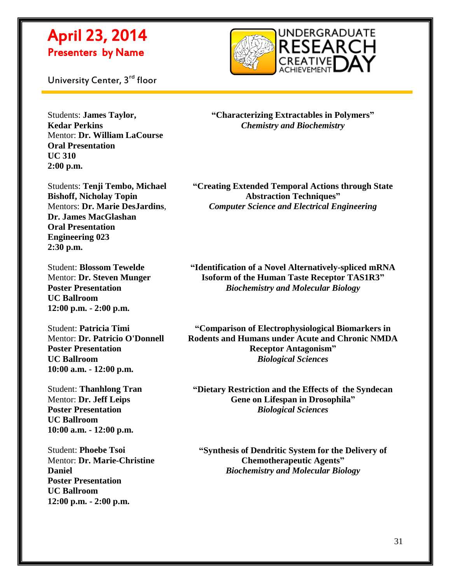

University Center, 3<sup>rd</sup> floor

 $\overline{a}$ 

Students: **James Taylor, Kedar Perkins** Mentor: **Dr. William LaCourse Oral Presentation UC 310 2:00 p.m.**

**"Characterizing Extractables in Polymers"** *Chemistry and Biochemistry*

Students: **Tenji Tembo, Michael Bishoff, Nicholay Topin** Mentors: **Dr. Marie DesJardins**, **Dr. James MacGlashan Oral Presentation Engineering 023 2:30 p.m.**

Student: **Blossom Tewelde** Mentor: **Dr. Steven Munger Poster Presentation UC Ballroom 12:00 p.m. - 2:00 p.m.**

Student: **Patricia Timi** Mentor: **Dr. Patricio O'Donnell Poster Presentation UC Ballroom 10:00 a.m. - 12:00 p.m.**

Student: **Thanhlong Tran** Mentor: **Dr. Jeff Leips Poster Presentation UC Ballroom 10:00 a.m. - 12:00 p.m.**

Student: **Phoebe Tsoi** Mentor: **Dr. Marie-Christine Daniel Poster Presentation UC Ballroom 12:00 p.m. - 2:00 p.m.**

**"Creating Extended Temporal Actions through State Abstraction Techniques"** *Computer Science and Electrical Engineering*

**"Identification of a Novel Alternatively-spliced mRNA Isoform of the Human Taste Receptor TAS1R3"** *Biochemistry and Molecular Biology*

**"Comparison of Electrophysiological Biomarkers in Rodents and Humans under Acute and Chronic NMDA Receptor Antagonism"** *Biological Sciences*

**"Dietary Restriction and the Effects of the Syndecan Gene on Lifespan in Drosophila"** *Biological Sciences*

**"Synthesis of Dendritic System for the Delivery of Chemotherapeutic Agents"** *Biochemistry and Molecular Biology*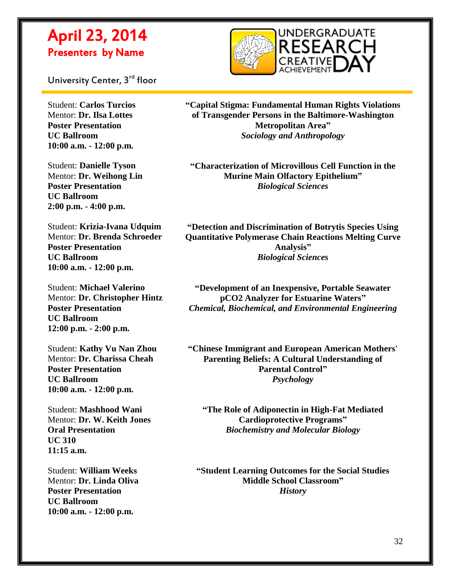

University Center, 3<sup>rd</sup> floor

Student: **Carlos Turcios** Mentor: **Dr. Ilsa Lottes Poster Presentation UC Ballroom 10:00 a.m. - 12:00 p.m.**

 $\overline{a}$ 

Student: **Danielle Tyson** Mentor: **Dr. Weihong Lin Poster Presentation UC Ballroom 2:00 p.m. - 4:00 p.m.**

Student: **Krizia-Ivana Udquim** Mentor: **Dr. Brenda Schroeder Poster Presentation UC Ballroom 10:00 a.m. - 12:00 p.m.**

Student: **Michael Valerino** Mentor: **Dr. Christopher Hintz Poster Presentation UC Ballroom 12:00 p.m. - 2:00 p.m.**

Student: **Kathy Vu Nan Zhou** Mentor: **Dr. Charissa Cheah Poster Presentation UC Ballroom 10:00 a.m. - 12:00 p.m.**

Student: **Mashhood Wani** Mentor: **Dr. W. Keith Jones Oral Presentation UC 310 11:15 a.m.**

Student: **William Weeks** Mentor: **Dr. Linda Oliva Poster Presentation UC Ballroom 10:00 a.m. - 12:00 p.m.**

**"Capital Stigma: Fundamental Human Rights Violations of Transgender Persons in the Baltimore-Washington Metropolitan Area"** *Sociology and Anthropology*

**"Characterization of Microvillous Cell Function in the Murine Main Olfactory Epithelium"** *Biological Sciences*

**"Detection and Discrimination of Botrytis Species Using Quantitative Polymerase Chain Reactions Melting Curve Analysis"** *Biological Sciences*

**"Development of an Inexpensive, Portable Seawater pCO2 Analyzer for Estuarine Waters"** *Chemical, Biochemical, and Environmental Engineering*

**"Chinese Immigrant and European American Mothers' Parenting Beliefs: A Cultural Understanding of Parental Control"** *Psychology*

**"The Role of Adiponectin in High-Fat Mediated Cardioprotective Programs"** *Biochemistry and Molecular Biology*

**"Student Learning Outcomes for the Social Studies Middle School Classroom"** *History*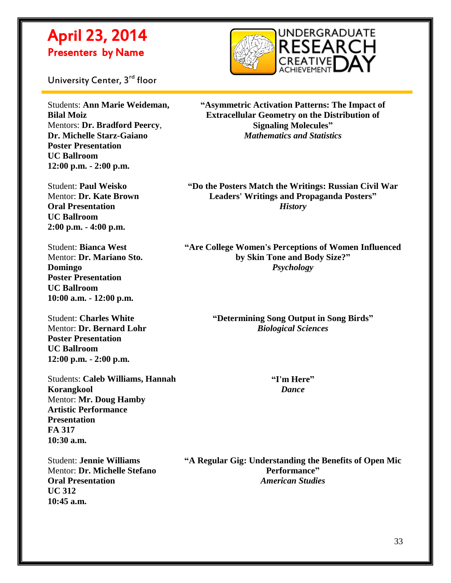

University Center, 3<sup>rd</sup> floor

 $\overline{a}$ 

Students: **Ann Marie Weideman, Bilal Moiz** Mentors: **Dr. Bradford Peercy**, **Dr. Michelle Starz-Gaiano Poster Presentation UC Ballroom 12:00 p.m. - 2:00 p.m.**

Student: **Paul Weisko** Mentor: **Dr. Kate Brown Oral Presentation UC Ballroom 2:00 p.m. - 4:00 p.m.**

Student: **Bianca West** Mentor: **Dr. Mariano Sto. Domingo Poster Presentation UC Ballroom 10:00 a.m. - 12:00 p.m.**

Student: **Charles White** Mentor: **Dr. Bernard Lohr Poster Presentation UC Ballroom 12:00 p.m. - 2:00 p.m.**

Students: **Caleb Williams, Hannah Korangkool** Mentor: **Mr. Doug Hamby Artistic Performance Presentation FA 317 10:30 a.m.**

Student: **Jennie Williams** Mentor: **Dr. Michelle Stefano Oral Presentation UC 312 10:45 a.m.**

**"Asymmetric Activation Patterns: The Impact of Extracellular Geometry on the Distribution of Signaling Molecules"** *Mathematics and Statistics*

**"Do the Posters Match the Writings: Russian Civil War Leaders' Writings and Propaganda Posters"** *History*

**"Are College Women's Perceptions of Women Influenced by Skin Tone and Body Size?"** *Psychology*

> **"Determining Song Output in Song Birds"** *Biological Sciences*

> > **"I'm Here"** *Dance*

**"A Regular Gig: Understanding the Benefits of Open Mic Performance"** *American Studies*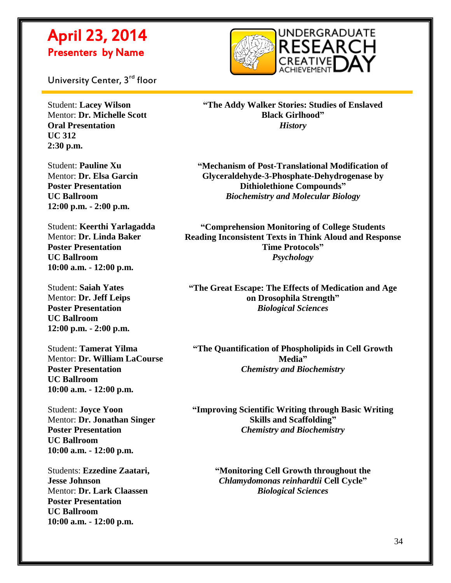

University Center, 3<sup>rd</sup> floor

 $\overline{a}$ 

Student: **Lacey Wilson** Mentor: **Dr. Michelle Scott Oral Presentation UC 312 2:30 p.m.**

Student: **Pauline Xu** Mentor: **Dr. Elsa Garcin Poster Presentation UC Ballroom 12:00 p.m. - 2:00 p.m.**

Student: **Keerthi Yarlagadda** Mentor: **Dr. Linda Baker Poster Presentation UC Ballroom 10:00 a.m. - 12:00 p.m.**

Student: **Saiah Yates** Mentor: **Dr. Jeff Leips Poster Presentation UC Ballroom 12:00 p.m. - 2:00 p.m.**

Student: **Tamerat Yilma** Mentor: **Dr. William LaCourse Poster Presentation UC Ballroom 10:00 a.m. - 12:00 p.m.**

Student: **Joyce Yoon** Mentor: **Dr. Jonathan Singer Poster Presentation UC Ballroom 10:00 a.m. - 12:00 p.m.**

Students: **Ezzedine Zaatari, Jesse Johnson** Mentor: **Dr. Lark Claassen Poster Presentation UC Ballroom 10:00 a.m. - 12:00 p.m.**

**"The Addy Walker Stories: Studies of Enslaved Black Girlhood"** *History*

**"Mechanism of Post-Translational Modification of Glyceraldehyde-3-Phosphate-Dehydrogenase by Dithiolethione Compounds"** *Biochemistry and Molecular Biology*

**"Comprehension Monitoring of College Students Reading Inconsistent Texts in Think Aloud and Response Time Protocols"** *Psychology*

**"The Great Escape: The Effects of Medication and Age on Drosophila Strength"** *Biological Sciences*

**"The Quantification of Phospholipids in Cell Growth Media"** *Chemistry and Biochemistry*

**"Improving Scientific Writing through Basic Writing Skills and Scaffolding"** *Chemistry and Biochemistry*

> **"Monitoring Cell Growth throughout the**  *Chlamydomonas reinhardtii* **Cell Cycle"** *Biological Sciences*